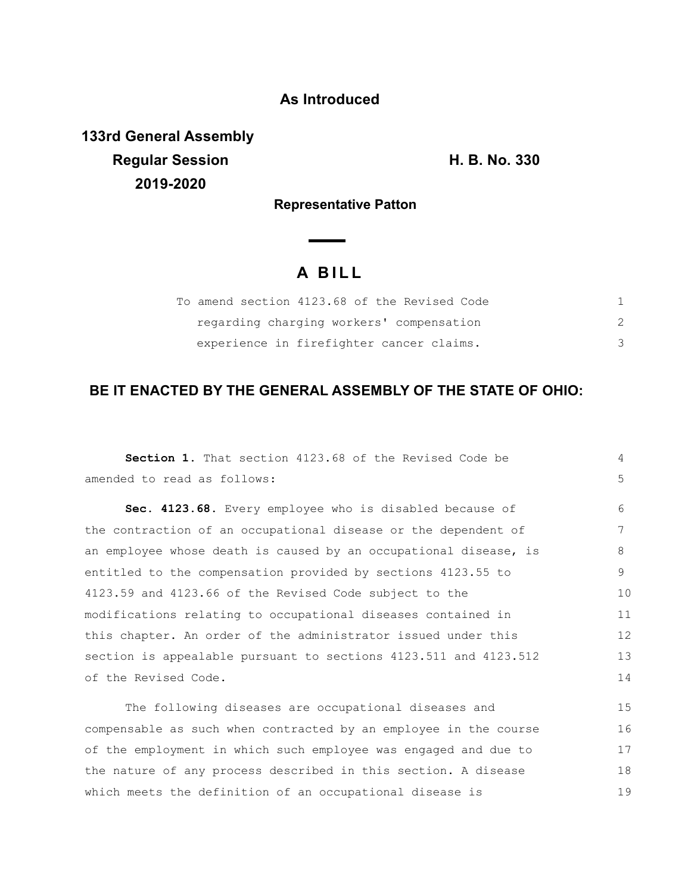## **As Introduced**

**133rd General Assembly Regular Session H. B. No. 330 2019-2020**

**Representative Patton**

# **A B I L L**

 $\overline{\phantom{a}}$ 

| To amend section 4123.68 of the Revised Code |  |
|----------------------------------------------|--|
| regarding charging workers' compensation     |  |
| experience in firefighter cancer claims.     |  |

## **BE IT ENACTED BY THE GENERAL ASSEMBLY OF THE STATE OF OHIO:**

| Section 1. That section 4123.68 of the Revised Code be           | 4  |  |
|------------------------------------------------------------------|----|--|
| amended to read as follows:                                      | 5  |  |
| Sec. 4123.68. Every employee who is disabled because of          | 6  |  |
| the contraction of an occupational disease or the dependent of   | 7  |  |
| an employee whose death is caused by an occupational disease, is | 8  |  |
| entitled to the compensation provided by sections 4123.55 to     | 9  |  |
| 4123.59 and 4123.66 of the Revised Code subject to the           | 10 |  |
| modifications relating to occupational diseases contained in     | 11 |  |
| this chapter. An order of the administrator issued under this    | 12 |  |
| section is appealable pursuant to sections 4123.511 and 4123.512 |    |  |
| of the Revised Code.                                             |    |  |
| The following diseases are occupational diseases and             | 15 |  |
| compensable as such when contracted by an employee in the course | 16 |  |
| of the employment in which such employee was engaged and due to  | 17 |  |
| the nature of any process described in this section. A disease   |    |  |
| which meets the definition of an occupational disease is         |    |  |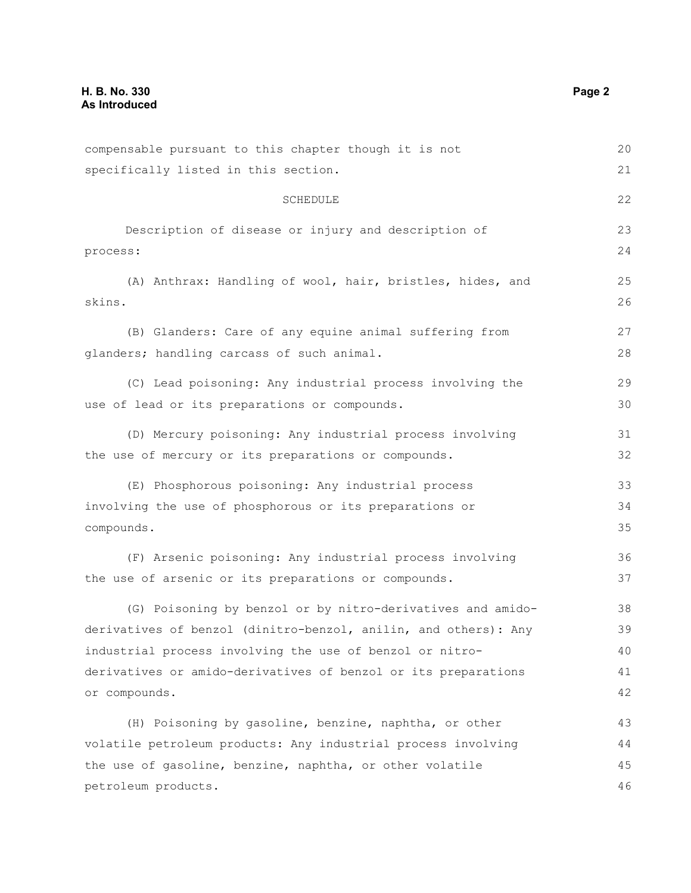| compensable pursuant to this chapter though it is not           | 20 |
|-----------------------------------------------------------------|----|
| specifically listed in this section.                            |    |
| SCHEDULE                                                        | 22 |
| Description of disease or injury and description of             | 23 |
| process:                                                        | 24 |
| (A) Anthrax: Handling of wool, hair, bristles, hides, and       | 25 |
| skins.                                                          | 26 |
| (B) Glanders: Care of any equine animal suffering from          | 27 |
| glanders; handling carcass of such animal.                      | 28 |
| (C) Lead poisoning: Any industrial process involving the        | 29 |
| use of lead or its preparations or compounds.                   | 30 |
| (D) Mercury poisoning: Any industrial process involving         | 31 |
| the use of mercury or its preparations or compounds.            | 32 |
| (E) Phosphorous poisoning: Any industrial process               | 33 |
| involving the use of phosphorous or its preparations or         |    |
| compounds.                                                      | 35 |
| (F) Arsenic poisoning: Any industrial process involving         | 36 |
| the use of arsenic or its preparations or compounds.            | 37 |
| (G) Poisoning by benzol or by nitro-derivatives and amido-      | 38 |
| derivatives of benzol (dinitro-benzol, anilin, and others): Any | 39 |
| industrial process involving the use of benzol or nitro-        | 40 |
| derivatives or amido-derivatives of benzol or its preparations  | 41 |
| or compounds.                                                   | 42 |
| (H) Poisoning by gasoline, benzine, naphtha, or other           | 43 |
| volatile petroleum products: Any industrial process involving   | 44 |
| the use of gasoline, benzine, naphtha, or other volatile        | 45 |
| petroleum products.                                             | 46 |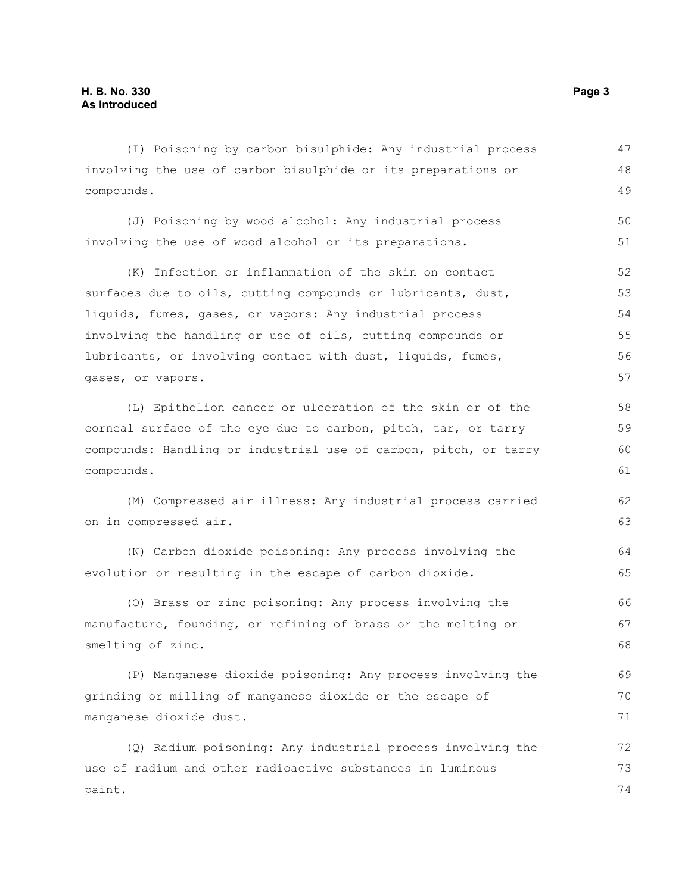(I) Poisoning by carbon bisulphide: Any industrial process involving the use of carbon bisulphide or its preparations or compounds. 47 48 49

(J) Poisoning by wood alcohol: Any industrial process involving the use of wood alcohol or its preparations. 50 51

(K) Infection or inflammation of the skin on contact surfaces due to oils, cutting compounds or lubricants, dust, liquids, fumes, gases, or vapors: Any industrial process involving the handling or use of oils, cutting compounds or lubricants, or involving contact with dust, liquids, fumes, gases, or vapors. 52 53 54 55 56 57

(L) Epithelion cancer or ulceration of the skin or of the corneal surface of the eye due to carbon, pitch, tar, or tarry compounds: Handling or industrial use of carbon, pitch, or tarry compounds.

(M) Compressed air illness: Any industrial process carried on in compressed air.

(N) Carbon dioxide poisoning: Any process involving the evolution or resulting in the escape of carbon dioxide. 64 65

(O) Brass or zinc poisoning: Any process involving the manufacture, founding, or refining of brass or the melting or smelting of zinc. 66 67 68

(P) Manganese dioxide poisoning: Any process involving the grinding or milling of manganese dioxide or the escape of manganese dioxide dust. 69 70 71

(Q) Radium poisoning: Any industrial process involving the use of radium and other radioactive substances in luminous paint. 72 73 74

62 63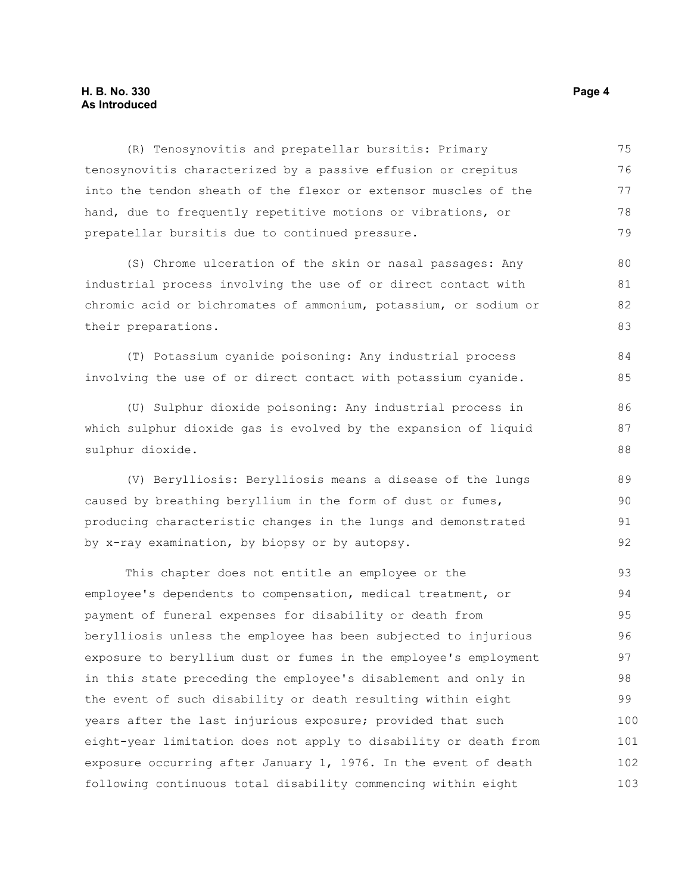## **H. B. No. 330 Page 4 As Introduced**

| (R) Tenosynovitis and prepatellar bursitis: Primary              | 75  |  |
|------------------------------------------------------------------|-----|--|
| tenosynovitis characterized by a passive effusion or crepitus    | 76  |  |
| into the tendon sheath of the flexor or extensor muscles of the  | 77  |  |
| hand, due to frequently repetitive motions or vibrations, or     | 78  |  |
| prepatellar bursitis due to continued pressure.                  | 79  |  |
| (S) Chrome ulceration of the skin or nasal passages: Any         | 80  |  |
| industrial process involving the use of or direct contact with   |     |  |
| chromic acid or bichromates of ammonium, potassium, or sodium or |     |  |
| their preparations.                                              | 83  |  |
| (T) Potassium cyanide poisoning: Any industrial process          | 84  |  |
| involving the use of or direct contact with potassium cyanide.   | 85  |  |
| (U) Sulphur dioxide poisoning: Any industrial process in         | 86  |  |
| which sulphur dioxide gas is evolved by the expansion of liquid  | 87  |  |
| sulphur dioxide.                                                 | 88  |  |
| (V) Berylliosis: Berylliosis means a disease of the lungs        | 89  |  |
| caused by breathing beryllium in the form of dust or fumes,      |     |  |
| producing characteristic changes in the lungs and demonstrated   |     |  |
| by x-ray examination, by biopsy or by autopsy.                   | 92  |  |
| This chapter does not entitle an employee or the                 | 93  |  |
| employee's dependents to compensation, medical treatment, or     | 94  |  |
| payment of funeral expenses for disability or death from         |     |  |
| berylliosis unless the employee has been subjected to injurious  | 96  |  |
| exposure to beryllium dust or fumes in the employee's employment | 97  |  |
| in this state preceding the employee's disablement and only in   | 98  |  |
| the event of such disability or death resulting within eight     | 99  |  |
| years after the last injurious exposure; provided that such      | 100 |  |
| eight-year limitation does not apply to disability or death from | 101 |  |
| exposure occurring after January 1, 1976. In the event of death  | 102 |  |
| following continuous total disability commencing within eight    | 103 |  |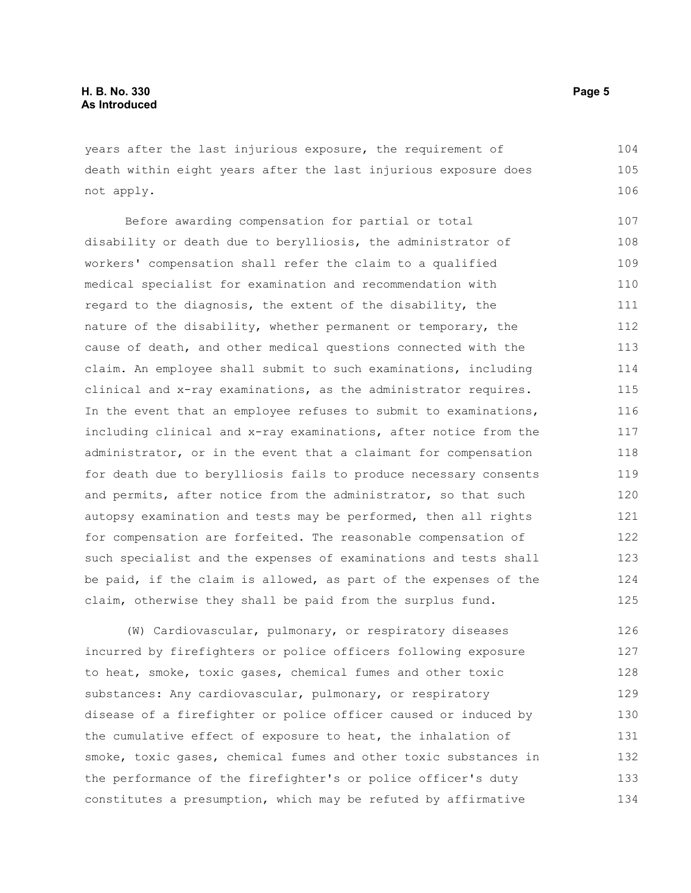years after the last injurious exposure, the requirement of death within eight years after the last injurious exposure does not apply. 104 105 106

Before awarding compensation for partial or total disability or death due to berylliosis, the administrator of workers' compensation shall refer the claim to a qualified medical specialist for examination and recommendation with regard to the diagnosis, the extent of the disability, the nature of the disability, whether permanent or temporary, the cause of death, and other medical questions connected with the claim. An employee shall submit to such examinations, including clinical and x-ray examinations, as the administrator requires. In the event that an employee refuses to submit to examinations, including clinical and x-ray examinations, after notice from the administrator, or in the event that a claimant for compensation for death due to berylliosis fails to produce necessary consents and permits, after notice from the administrator, so that such autopsy examination and tests may be performed, then all rights for compensation are forfeited. The reasonable compensation of such specialist and the expenses of examinations and tests shall be paid, if the claim is allowed, as part of the expenses of the claim, otherwise they shall be paid from the surplus fund. 107 108 109 110 111 112 113 114 115 116 117 118 119 120 121 122 123 124 125

(W) Cardiovascular, pulmonary, or respiratory diseases incurred by firefighters or police officers following exposure to heat, smoke, toxic gases, chemical fumes and other toxic substances: Any cardiovascular, pulmonary, or respiratory disease of a firefighter or police officer caused or induced by the cumulative effect of exposure to heat, the inhalation of smoke, toxic gases, chemical fumes and other toxic substances in the performance of the firefighter's or police officer's duty constitutes a presumption, which may be refuted by affirmative 126 127 128 129 130 131 132 133 134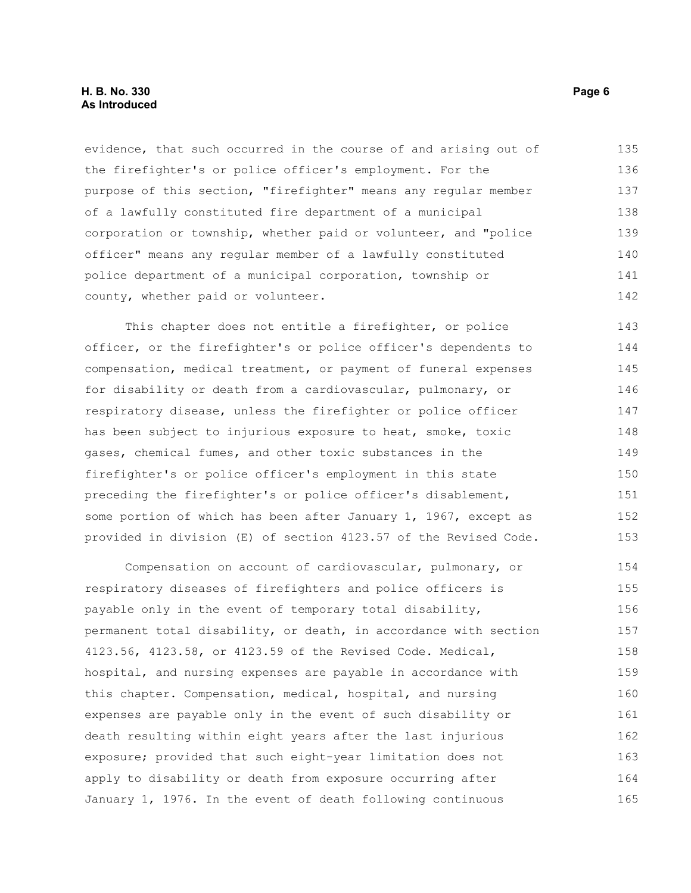### **H. B. No. 330 Page 6 As Introduced**

evidence, that such occurred in the course of and arising out of the firefighter's or police officer's employment. For the purpose of this section, "firefighter" means any regular member of a lawfully constituted fire department of a municipal corporation or township, whether paid or volunteer, and "police officer" means any regular member of a lawfully constituted police department of a municipal corporation, township or county, whether paid or volunteer. 135 136 137 138 139 140 141 142

This chapter does not entitle a firefighter, or police officer, or the firefighter's or police officer's dependents to compensation, medical treatment, or payment of funeral expenses for disability or death from a cardiovascular, pulmonary, or respiratory disease, unless the firefighter or police officer has been subject to injurious exposure to heat, smoke, toxic gases, chemical fumes, and other toxic substances in the firefighter's or police officer's employment in this state preceding the firefighter's or police officer's disablement, some portion of which has been after January 1, 1967, except as provided in division (E) of section 4123.57 of the Revised Code. 143 144 145 146 147 148 149 150 151 152 153

Compensation on account of cardiovascular, pulmonary, or respiratory diseases of firefighters and police officers is payable only in the event of temporary total disability, permanent total disability, or death, in accordance with section 4123.56, 4123.58, or 4123.59 of the Revised Code. Medical, hospital, and nursing expenses are payable in accordance with this chapter. Compensation, medical, hospital, and nursing expenses are payable only in the event of such disability or death resulting within eight years after the last injurious exposure; provided that such eight-year limitation does not apply to disability or death from exposure occurring after January 1, 1976. In the event of death following continuous 154 155 156 157 158 159 160 161 162 163 164 165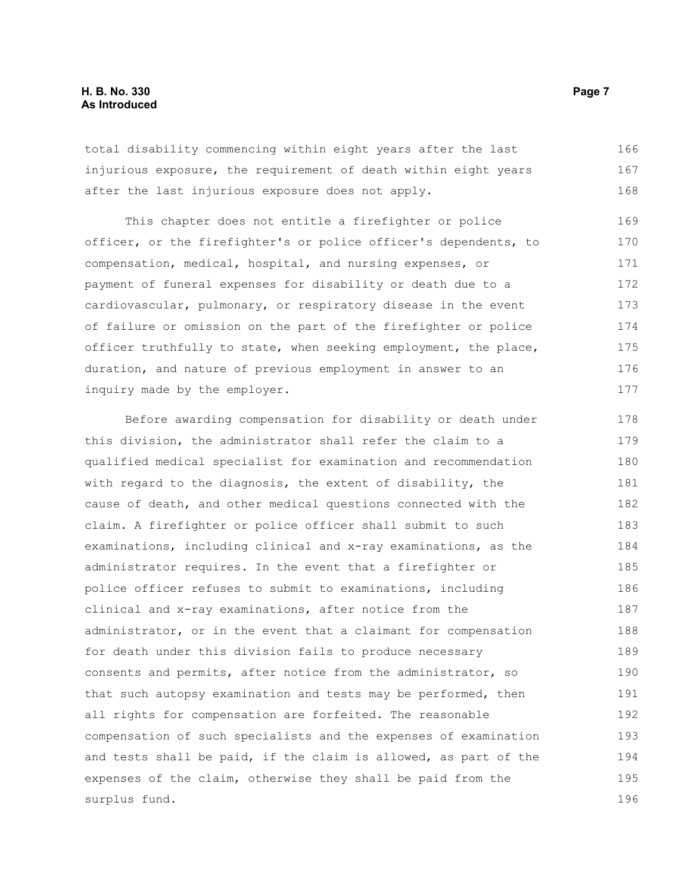total disability commencing within eight years after the last injurious exposure, the requirement of death within eight years after the last injurious exposure does not apply. 166 167 168

This chapter does not entitle a firefighter or police officer, or the firefighter's or police officer's dependents, to compensation, medical, hospital, and nursing expenses, or payment of funeral expenses for disability or death due to a cardiovascular, pulmonary, or respiratory disease in the event of failure or omission on the part of the firefighter or police officer truthfully to state, when seeking employment, the place, duration, and nature of previous employment in answer to an inquiry made by the employer. 169 170 171 172 173 174 175 176 177

Before awarding compensation for disability or death under this division, the administrator shall refer the claim to a qualified medical specialist for examination and recommendation with regard to the diagnosis, the extent of disability, the cause of death, and other medical questions connected with the claim. A firefighter or police officer shall submit to such examinations, including clinical and x-ray examinations, as the administrator requires. In the event that a firefighter or police officer refuses to submit to examinations, including clinical and x-ray examinations, after notice from the administrator, or in the event that a claimant for compensation for death under this division fails to produce necessary consents and permits, after notice from the administrator, so that such autopsy examination and tests may be performed, then all rights for compensation are forfeited. The reasonable compensation of such specialists and the expenses of examination and tests shall be paid, if the claim is allowed, as part of the expenses of the claim, otherwise they shall be paid from the surplus fund. 178 179 180 181 182 183 184 185 186 187 188 189 190 191 192 193 194 195 196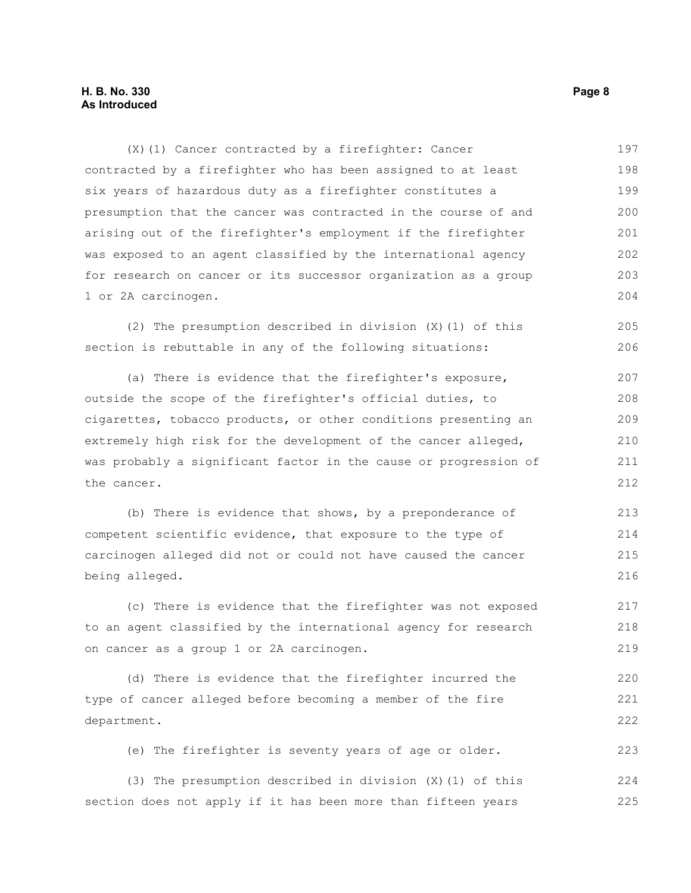(X)(1) Cancer contracted by a firefighter: Cancer contracted by a firefighter who has been assigned to at least six years of hazardous duty as a firefighter constitutes a presumption that the cancer was contracted in the course of and arising out of the firefighter's employment if the firefighter was exposed to an agent classified by the international agency for research on cancer or its successor organization as a group 1 or 2A carcinogen. 197 198 199 200 201 202 203 204

(2) The presumption described in division (X)(1) of this section is rebuttable in any of the following situations: 205 206

(a) There is evidence that the firefighter's exposure, outside the scope of the firefighter's official duties, to cigarettes, tobacco products, or other conditions presenting an extremely high risk for the development of the cancer alleged, was probably a significant factor in the cause or progression of the cancer. 207 208 209 210 211 212

(b) There is evidence that shows, by a preponderance of competent scientific evidence, that exposure to the type of carcinogen alleged did not or could not have caused the cancer being alleged. 213 214 215 216

(c) There is evidence that the firefighter was not exposed to an agent classified by the international agency for research on cancer as a group 1 or 2A carcinogen. 217 218 219

(d) There is evidence that the firefighter incurred the type of cancer alleged before becoming a member of the fire department. 220 221 222

(e) The firefighter is seventy years of age or older. 223

(3) The presumption described in division (X)(1) of this section does not apply if it has been more than fifteen years 224 225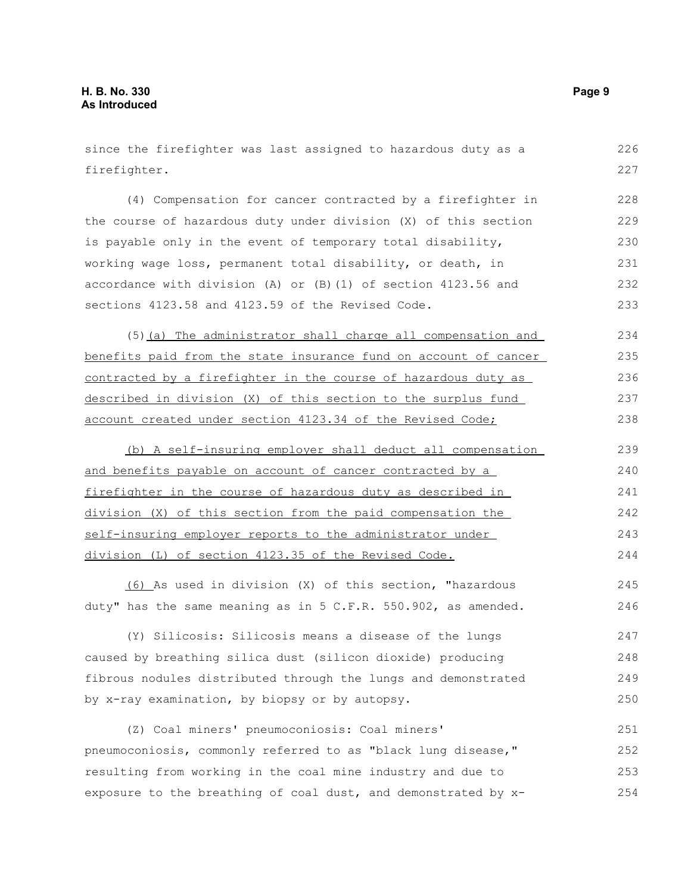since the firefighter was last assigned to hazardous duty as a firefighter. 226 227

(4) Compensation for cancer contracted by a firefighter in the course of hazardous duty under division (X) of this section is payable only in the event of temporary total disability, working wage loss, permanent total disability, or death, in accordance with division (A) or (B)(1) of section 4123.56 and sections 4123.58 and 4123.59 of the Revised Code. 228 229 230 231 232 233

(5)(a) The administrator shall charge all compensation and benefits paid from the state insurance fund on account of cancer contracted by a firefighter in the course of hazardous duty as described in division (X) of this section to the surplus fund account created under section 4123.34 of the Revised Code; 234 235 236 237 238

(b) A self-insuring employer shall deduct all compensation and benefits payable on account of cancer contracted by a firefighter in the course of hazardous duty as described in division (X) of this section from the paid compensation the self-insuring employer reports to the administrator under division (L) of section 4123.35 of the Revised Code. 239 240 241 242 243 244

(6) As used in division (X) of this section, "hazardous duty" has the same meaning as in 5 C.F.R. 550.902, as amended. 245 246

(Y) Silicosis: Silicosis means a disease of the lungs caused by breathing silica dust (silicon dioxide) producing fibrous nodules distributed through the lungs and demonstrated by x-ray examination, by biopsy or by autopsy. 247 248 249 250

(Z) Coal miners' pneumoconiosis: Coal miners' pneumoconiosis, commonly referred to as "black lung disease," resulting from working in the coal mine industry and due to exposure to the breathing of coal dust, and demonstrated by x-251 252 253 254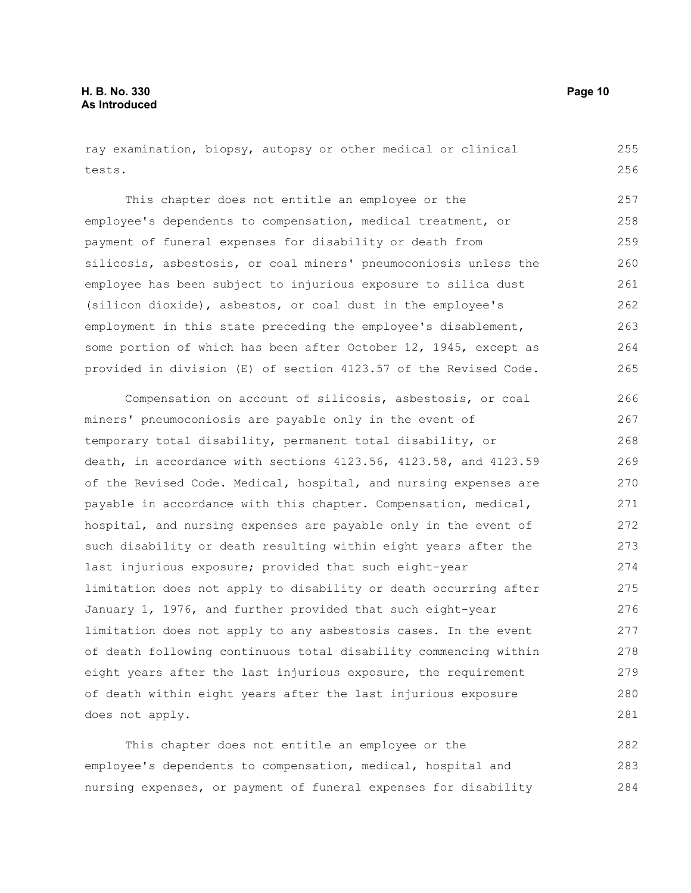ray examination, biopsy, autopsy or other medical or clinical tests. 255 256

This chapter does not entitle an employee or the employee's dependents to compensation, medical treatment, or payment of funeral expenses for disability or death from silicosis, asbestosis, or coal miners' pneumoconiosis unless the employee has been subject to injurious exposure to silica dust (silicon dioxide), asbestos, or coal dust in the employee's employment in this state preceding the employee's disablement, some portion of which has been after October 12, 1945, except as provided in division (E) of section 4123.57 of the Revised Code. 257 258 259 260 261 262 263 264 265

Compensation on account of silicosis, asbestosis, or coal miners' pneumoconiosis are payable only in the event of temporary total disability, permanent total disability, or death, in accordance with sections 4123.56, 4123.58, and 4123.59 of the Revised Code. Medical, hospital, and nursing expenses are payable in accordance with this chapter. Compensation, medical, hospital, and nursing expenses are payable only in the event of such disability or death resulting within eight years after the last injurious exposure; provided that such eight-year limitation does not apply to disability or death occurring after January 1, 1976, and further provided that such eight-year limitation does not apply to any asbestosis cases. In the event of death following continuous total disability commencing within eight years after the last injurious exposure, the requirement of death within eight years after the last injurious exposure does not apply. 266 267 268 269 270 271 272 273 274 275 276 277 278 279 280 281

This chapter does not entitle an employee or the employee's dependents to compensation, medical, hospital and nursing expenses, or payment of funeral expenses for disability 282 283 284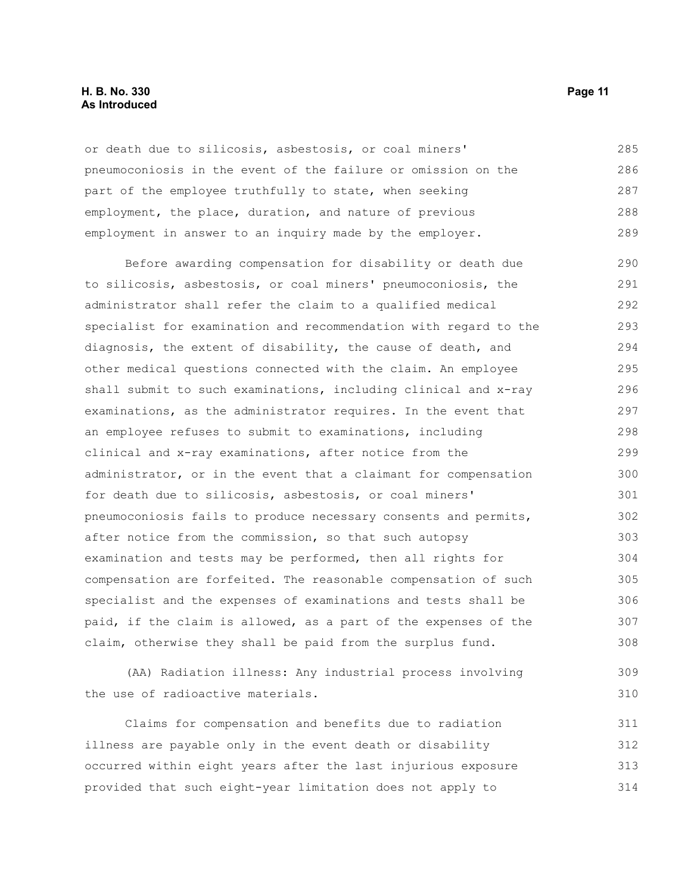### **H. B. No. 330 Page 11 As Introduced**

or death due to silicosis, asbestosis, or coal miners' pneumoconiosis in the event of the failure or omission on the part of the employee truthfully to state, when seeking employment, the place, duration, and nature of previous employment in answer to an inquiry made by the employer. 285 286 287 288 289

Before awarding compensation for disability or death due to silicosis, asbestosis, or coal miners' pneumoconiosis, the administrator shall refer the claim to a qualified medical specialist for examination and recommendation with regard to the diagnosis, the extent of disability, the cause of death, and other medical questions connected with the claim. An employee shall submit to such examinations, including clinical and x-ray examinations, as the administrator requires. In the event that an employee refuses to submit to examinations, including clinical and x-ray examinations, after notice from the administrator, or in the event that a claimant for compensation for death due to silicosis, asbestosis, or coal miners' pneumoconiosis fails to produce necessary consents and permits, after notice from the commission, so that such autopsy examination and tests may be performed, then all rights for compensation are forfeited. The reasonable compensation of such specialist and the expenses of examinations and tests shall be paid, if the claim is allowed, as a part of the expenses of the claim, otherwise they shall be paid from the surplus fund. 290 291 292 293 294 295 296 297 298 299 300 301 302 303 304 305 306 307 308

(AA) Radiation illness: Any industrial process involving the use of radioactive materials.

Claims for compensation and benefits due to radiation illness are payable only in the event death or disability occurred within eight years after the last injurious exposure provided that such eight-year limitation does not apply to 311 312 313 314

309 310